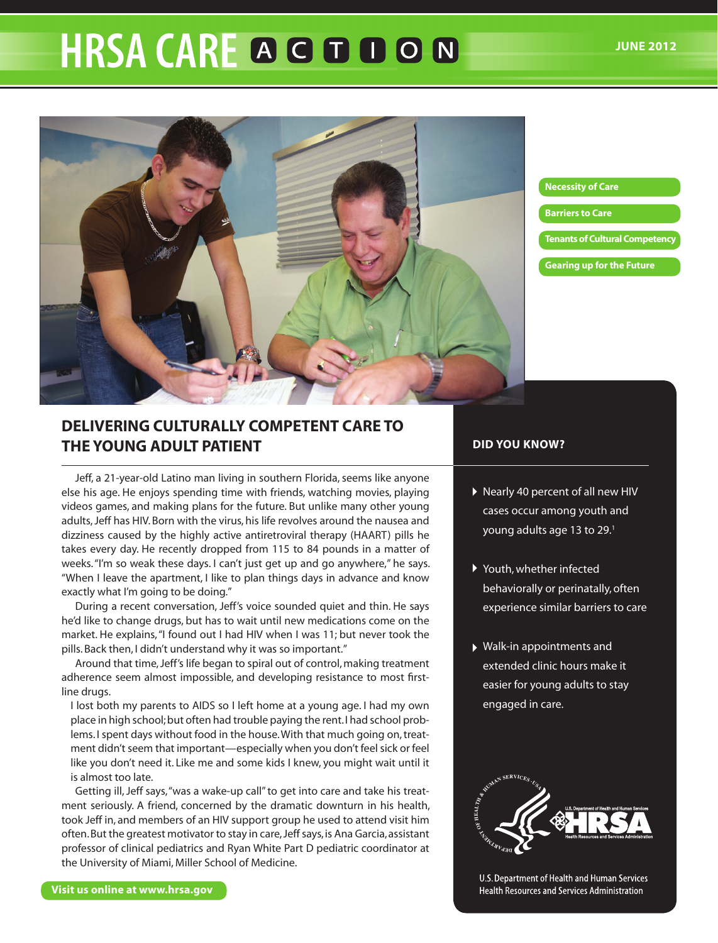# **HRSA CARE A G D D O N**



#### **Necessity of Care**

- **Barriers to Care**
- **Tenants of Cultural Competency**
- **Gearing up for the Future**

## **DELIVERING CULTURALLY COMPETENT CARE TO THE YOUNG ADULT PATIENT**

Jeff, a 21-year-old Latino man living in southern Florida, seems like anyone else his age. He enjoys spending time with friends, watching movies, playing videos games, and making plans for the future. But unlike many other young adults, Jeff has HIV. Born with the virus, his life revolves around the nausea and dizziness caused by the highly active antiretroviral therapy (HAART) pills he takes every day. He recently dropped from 115 to 84 pounds in a matter of weeks. "I'm so weak these days. I can't just get up and go anywhere," he says. "When I leave the apartment, I like to plan things days in advance and know exactly what I'm going to be doing."

During a recent conversation, Jeff's voice sounded quiet and thin. He says he'd like to change drugs, but has to wait until new medications come on the market. He explains, "I found out I had HIV when I was 11; but never took the pills. Back then, I didn't understand why it was so important."

Around that time, Jeff's life began to spiral out of control, making treatment adherence seem almost impossible, and developing resistance to most firstline drugs.

I lost both my parents to AIDS so I left home at a young age. I had my own place in high school; but often had trouble paying the rent. I had school problems. I spent days without food in the house. With that much going on, treatment didn't seem that important—especially when you don't feel sick or feel like you don't need it. Like me and some kids I knew, you might wait until it is almost too late.

Getting ill, Jeff says, "was a wake-up call" to get into care and take his treatment seriously. A friend, concerned by the dramatic downturn in his health, took Jeff in, and members of an HIV support group he used to attend visit him often. But the greatest motivator to stay in care, Jeff says, is Ana Garcia, assistant professor of clinical pediatrics and Ryan White Part D pediatric coordinator at the University of Miami, Miller School of Medicine.

#### **DID YOU KNOW?**

- Nearly 40 percent of all new HIV cases occur among youth and young adults age 13 to 29.<sup>1</sup>
- Youth, whether infected behaviorally or perinatally, often experience similar barriers to care
- Walk-in appointments and extended clinic hours make it easier for young adults to stay engaged in care.



U.S. Department of Health and Human Services Health Resources and Services Administration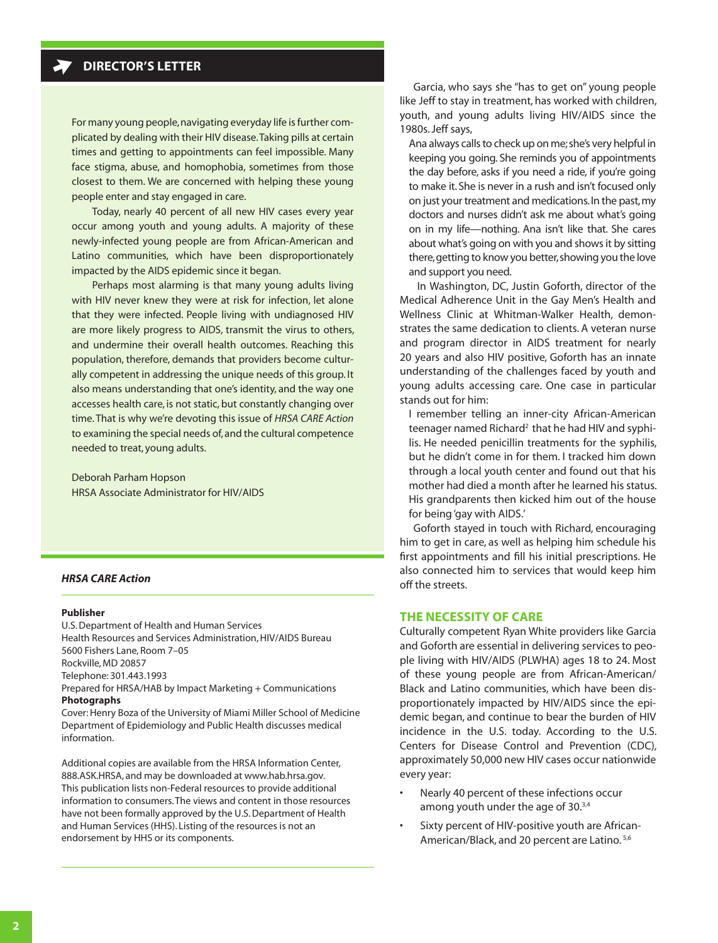For many young people, navigating everyday life is further complicated by dealing with their HIV disease. Taking pills at certain times and getting to appointments can feel impossible. Many face stigma, abuse, and homophobia, sometimes from those closest to them. We are concerned with helping these young people enter and stay engaged in care.

Today, nearly 40 percent of all new HIV cases every year occur among youth and young adults. A majority of these newly-infected young people are from African-American and Latino communities, which have been disproportionately impacted by the AIDS epidemic since it began.

Perhaps most alarming is that many young adults living with HIV never knew they were at risk for infection, let alone that they were infected. People living with undiagnosed HIV are more likely progress to AIDS, transmit the virus to others, and undermine their overall health outcomes. Reaching this population, therefore, demands that providers become culturally competent in addressing the unique needs of this group. It also means understanding that one's identity, and the way one accesses health care, is not static, but constantly changing over time. That is why we're devoting this issue of *HRSA CARE Action* to examining the special needs of, and the cultural competence needed to treat, young adults.

Deborah Parham Hopson HRSA Associate Administrator for HIV/AIDS

#### *HRSA CARE Action*

#### **Publisher**

U.S. Department of Health and Human Services Health Resources and Services Administration, HIV/AIDS Bureau 5600 Fishers Lane, Room 7–05 Rockville, MD 20857 Telephone: 301.443.1993 Prepared for HRSA/HAB by Impact Marketing + Communications **Photographs**

Cover: Henry Boza of the University of Miami Miller School of Medicine Department of Epidemiology and Public Health discusses medical information.

Additional copies are available from the HRSA Information Center, 888.ASK.HRSA, and may be downloaded at [www.hab.hrsa.gov.](http://www.hab.hrsa.gov) This publication lists non-Federal resources to provide additional information to consumers. The views and content in those resources have not been formally approved by the U.S. Department of Health and Human Services (HHS). Listing of the resources is not an endorsement by HHS or its components.

Garcia, who says she "has to get on" young people like Jeff to stay in treatment, has worked with children, youth, and young adults living HIV/AIDS since the 1980s. Jeff says,

Ana always calls to check up on me; she's very helpful in keeping you going. She reminds you of appointments the day before, asks if you need a ride, if you're going to make it. She is never in a rush and isn't focused only on just your treatment and medications. In the past, my doctors and nurses didn't ask me about what's going on in my life—nothing. Ana isn't like that. She cares about what's going on with you and shows it by sitting there, getting to know you better, showing you the love and support you need.

 In Washington, DC, Justin Goforth, director of the Medical Adherence Unit in the Gay Men's Health and Wellness Clinic at Whitman-Walker Health, demonstrates the same dedication to clients. A veteran nurse and program director in AIDS treatment for nearly 20 years and also HIV positive, Goforth has an innate understanding of the challenges faced by youth and young adults accessing care. One case in particular stands out for him:

I remember telling an inner-city African-American teenager named Richard<sup>2</sup> that he had HIV and syphilis. He needed penicillin treatments for the syphilis, but he didn't come in for them. I tracked him down through a local youth center and found out that his mother had died a month after he learned his status. His grandparents then kicked him out of the house for being 'gay with AIDS.'

Goforth stayed in touch with Richard, encouraging him to get in care, as well as helping him schedule his first appointments and fill his initial prescriptions. He also connected him to services that would keep him off the streets.

#### **THE NECESSITY OF CARE**

Culturally competent Ryan White providers like Garcia and Goforth are essential in delivering services to people living with HIV/AIDS (PLWHA) ages 18 to 24. Most of these young people are from African-American/ Black and Latino communities, which have been disproportionately impacted by HIV/AIDS since the epidemic began, and continue to bear the burden of HIV incidence in the U.S. today. According to the U.S. Centers for Disease Control and Prevention (CDC), approximately 50,000 new HIV cases occur nationwide every year:

- Nearly 40 percent of these infections occur among youth under the age of 30.3,4
- Sixty percent of HIV-positive youth are African-American/Black, and 20 percent are Latino. 5,6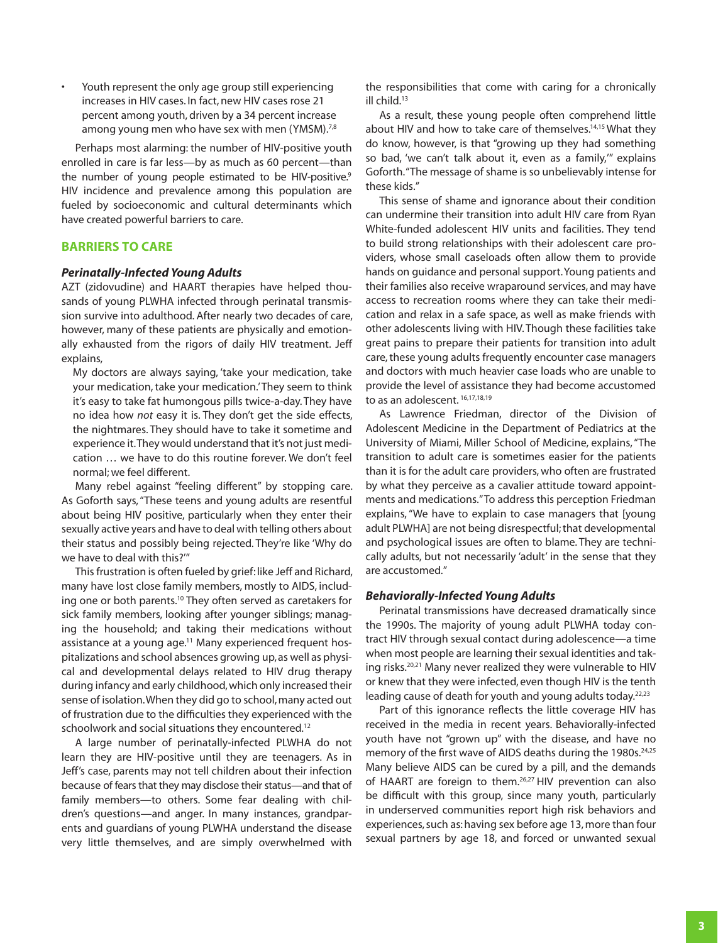Youth represent the only age group still experiencing increases in HIV cases. In fact, new HIV cases rose 21 percent among youth, driven by a 34 percent increase among young men who have sex with men (YMSM).<sup>7,8</sup>

Perhaps most alarming: the number of HIV-positive youth enrolled in care is far less—by as much as 60 percent—than the number of young people estimated to be HIV-positive.<sup>9</sup> HIV incidence and prevalence among this population are fueled by socioeconomic and cultural determinants which have created powerful barriers to care.

#### **BARRIERS TO CARE**

#### *Perinatally-Infected Young Adults*

AZT (zidovudine) and HAART therapies have helped thousands of young PLWHA infected through perinatal transmission survive into adulthood. After nearly two decades of care, however, many of these patients are physically and emotionally exhausted from the rigors of daily HIV treatment. Jeff explains,

My doctors are always saying, 'take your medication, take your medication, take your medication.' They seem to think it's easy to take fat humongous pills twice-a-day. They have no idea how *not* easy it is. They don't get the side effects, the nightmares. They should have to take it sometime and experience it. They would understand that it's not just medication … we have to do this routine forever. We don't feel normal; we feel different.

Many rebel against "feeling different" by stopping care. As Goforth says, "These teens and young adults are resentful about being HIV positive, particularly when they enter their sexually active years and have to deal with telling others about their status and possibly being rejected. They're like 'Why do we have to deal with this?'"

This frustration is often fueled by grief: like Jeff and Richard, many have lost close family members, mostly to AIDS, including one or both parents.<sup>10</sup> They often served as caretakers for sick family members, looking after younger siblings; managing the household; and taking their medications without assistance at a young age.<sup>11</sup> Many experienced frequent hospitalizations and school absences growing up, as well as physical and developmental delays related to HIV drug therapy during infancy and early childhood, which only increased their sense of isolation. When they did go to school, many acted out of frustration due to the difficulties they experienced with the schoolwork and social situations they encountered.<sup>12</sup>

A large number of perinatally-infected PLWHA do not learn they are HIV-positive until they are teenagers. As in Jeff's case, parents may not tell children about their infection because of fears that they may disclose their status—and that of family members—to others. Some fear dealing with children's questions—and anger. In many instances, grandparents and guardians of young PLWHA understand the disease very little themselves, and are simply overwhelmed with

the responsibilities that come with caring for a chronically ill child.13

As a result, these young people often comprehend little about HIV and how to take care of themselves.<sup>14,15</sup> What they do know, however, is that "growing up they had something so bad, 'we can't talk about it, even as a family,'" explains Goforth. "The message of shame is so unbelievably intense for these kids."

This sense of shame and ignorance about their condition can undermine their transition into adult HIV care from Ryan White-funded adolescent HIV units and facilities. They tend to build strong relationships with their adolescent care providers, whose small caseloads often allow them to provide hands on guidance and personal support. Young patients and their families also receive wraparound services, and may have access to recreation rooms where they can take their medication and relax in a safe space, as well as make friends with other adolescents living with HIV. Though these facilities take great pains to prepare their patients for transition into adult care, these young adults frequently encounter case managers and doctors with much heavier case loads who are unable to provide the level of assistance they had become accustomed to as an adolescent. 16,17,18,19

As Lawrence Friedman, director of the Division of Adolescent Medicine in the Department of Pediatrics at the University of Miami, Miller School of Medicine, explains, "The transition to adult care is sometimes easier for the patients than it is for the adult care providers, who often are frustrated by what they perceive as a cavalier attitude toward appointments and medications." To address this perception Friedman explains, "We have to explain to case managers that [young adult PLWHA] are not being disrespectful; that developmental and psychological issues are often to blame. They are technically adults, but not necessarily 'adult' in the sense that they are accustomed."

#### *Behaviorally-Infected Young Adults*

Perinatal transmissions have decreased dramatically since the 1990s. The majority of young adult PLWHA today contract HIV through sexual contact during adolescence—a time when most people are learning their sexual identities and taking risks.<sup>20,21</sup> Many never realized they were vulnerable to HIV or knew that they were infected, even though HIV is the tenth leading cause of death for youth and young adults today.<sup>22,23</sup>

Part of this ignorance reflects the little coverage HIV has received in the media in recent years. Behaviorally-infected youth have not "grown up" with the disease, and have no memory of the first wave of AIDS deaths during the 1980s.<sup>24,25</sup> Many believe AIDS can be cured by a pill, and the demands of HAART are foreign to them.<sup>26,27</sup> HIV prevention can also be difficult with this group, since many youth, particularly in underserved communities report high risk behaviors and experiences, such as: having sex before age 13, more than four sexual partners by age 18, and forced or unwanted sexual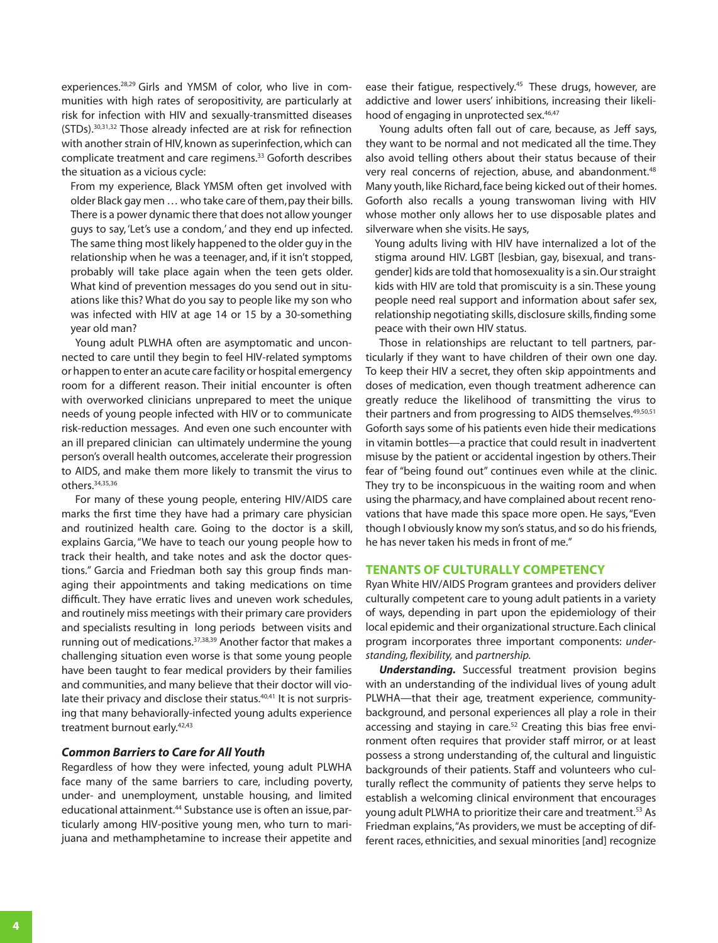experiences.<sup>28,29</sup> Girls and YMSM of color, who live in communities with high rates of seropositivity, are particularly at risk for infection with HIV and sexually-transmitted diseases (STDs).30,31,32 Those already infected are at risk for refinection with another strain of HIV, known as superinfection, which can complicate treatment and care regimens.33 Goforth describes the situation as a vicious cycle:

From my experience, Black YMSM often get involved with older Black gay men … who take care of them, pay their bills. There is a power dynamic there that does not allow younger guys to say, 'Let's use a condom,' and they end up infected. The same thing most likely happened to the older guy in the relationship when he was a teenager, and, if it isn't stopped, probably will take place again when the teen gets older. What kind of prevention messages do you send out in situations like this? What do you say to people like my son who was infected with HIV at age 14 or 15 by a 30-something year old man?

Young adult PLWHA often are asymptomatic and unconnected to care until they begin to feel HIV-related symptoms or happen to enter an acute care facility or hospital emergency room for a different reason. Their initial encounter is often with overworked clinicians unprepared to meet the unique needs of young people infected with HIV or to communicate risk-reduction messages. And even one such encounter with an ill prepared clinician can ultimately undermine the young person's overall health outcomes, accelerate their progression to AIDS, and make them more likely to transmit the virus to others.34,35,36

For many of these young people, entering HIV/AIDS care marks the first time they have had a primary care physician and routinized health care. Going to the doctor is a skill, explains Garcia, "We have to teach our young people how to track their health, and take notes and ask the doctor questions." Garcia and Friedman both say this group finds managing their appointments and taking medications on time difficult. They have erratic lives and uneven work schedules, and routinely miss meetings with their primary care providers and specialists resulting in long periods between visits and running out of medications.37,38,39 Another factor that makes a challenging situation even worse is that some young people have been taught to fear medical providers by their families and communities, and many believe that their doctor will violate their privacy and disclose their status.<sup>40,41</sup> It is not surprising that many behaviorally-infected young adults experience treatment burnout early.<sup>42,43</sup>

#### *Common Barriers to Care for All Youth*

Regardless of how they were infected, young adult PLWHA face many of the same barriers to care, including poverty, under- and unemployment, unstable housing, and limited educational attainment.<sup>44</sup> Substance use is often an issue, particularly among HIV-positive young men, who turn to marijuana and methamphetamine to increase their appetite and

ease their fatigue, respectively.<sup>45</sup> These drugs, however, are addictive and lower users' inhibitions, increasing their likelihood of engaging in unprotected sex.<sup>46,47</sup>

Young adults often fall out of care, because, as Jeff says, they want to be normal and not medicated all the time. They also avoid telling others about their status because of their very real concerns of rejection, abuse, and abandonment.<sup>48</sup> Many youth, like Richard, face being kicked out of their homes. Goforth also recalls a young transwoman living with HIV whose mother only allows her to use disposable plates and silverware when she visits. He says,

Young adults living with HIV have internalized a lot of the stigma around HIV. LGBT [lesbian, gay, bisexual, and transgender] kids are told that homosexuality is a sin. Our straight kids with HIV are told that promiscuity is a sin. These young people need real support and information about safer sex, relationship negotiating skills, disclosure skills, finding some peace with their own HIV status.

Those in relationships are reluctant to tell partners, particularly if they want to have children of their own one day. To keep their HIV a secret, they often skip appointments and doses of medication, even though treatment adherence can greatly reduce the likelihood of transmitting the virus to their partners and from progressing to AIDS themselves.<sup>49,50,51</sup> Goforth says some of his patients even hide their medications in vitamin bottles—a practice that could result in inadvertent misuse by the patient or accidental ingestion by others. Their fear of "being found out" continues even while at the clinic. They try to be inconspicuous in the waiting room and when using the pharmacy, and have complained about recent renovations that have made this space more open. He says, "Even though I obviously know my son's status, and so do his friends, he has never taken his meds in front of me."

#### **TENANTS OF CULTURALLY COMPETENCY**

Ryan White HIV/AIDS Program grantees and providers deliver culturally competent care to young adult patients in a variety of ways, depending in part upon the epidemiology of their local epidemic and their organizational structure. Each clinical program incorporates three important components: *understanding, flexibility,* and *partnership.*

*Understanding.* Successful treatment provision begins with an understanding of the individual lives of young adult PLWHA—that their age, treatment experience, communitybackground, and personal experiences all play a role in their accessing and staying in care.<sup>52</sup> Creating this bias free environment often requires that provider staff mirror, or at least possess a strong understanding of, the cultural and linguistic backgrounds of their patients. Staff and volunteers who culturally reflect the community of patients they serve helps to establish a welcoming clinical environment that encourages young adult PLWHA to prioritize their care and treatment.<sup>53</sup> As Friedman explains, "As providers, we must be accepting of different races, ethnicities, and sexual minorities [and] recognize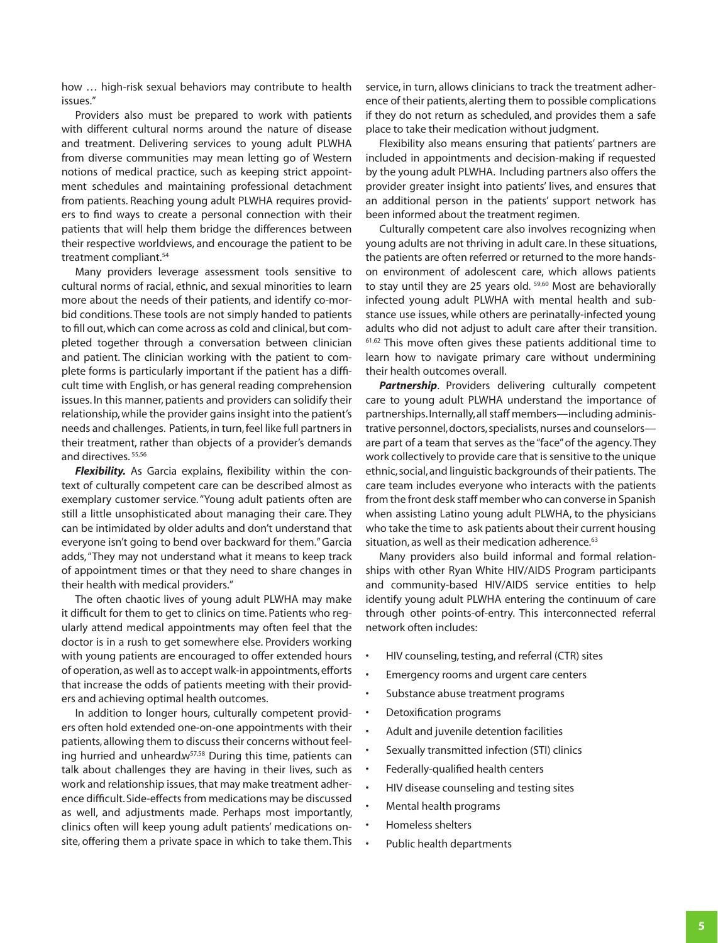how … high-risk sexual behaviors may contribute to health issues."

Providers also must be prepared to work with patients with different cultural norms around the nature of disease and treatment. Delivering services to young adult PLWHA from diverse communities may mean letting go of Western notions of medical practice, such as keeping strict appointment schedules and maintaining professional detachment from patients. Reaching young adult PLWHA requires providers to find ways to create a personal connection with their patients that will help them bridge the differences between their respective worldviews, and encourage the patient to be treatment compliant.<sup>54</sup>

Many providers leverage assessment tools sensitive to cultural norms of racial, ethnic, and sexual minorities to learn more about the needs of their patients, and identify co-morbid conditions. These tools are not simply handed to patients to fill out, which can come across as cold and clinical, but completed together through a conversation between clinician and patient. The clinician working with the patient to complete forms is particularly important if the patient has a difficult time with English, or has general reading comprehension issues. In this manner, patients and providers can solidify their relationship, while the provider gains insight into the patient's needs and challenges. Patients, in turn, feel like full partners in their treatment, rather than objects of a provider's demands and directives. 55,56

*Flexibility.* As Garcia explains, flexibility within the context of culturally competent care can be described almost as exemplary customer service. "Young adult patients often are still a little unsophisticated about managing their care. They can be intimidated by older adults and don't understand that everyone isn't going to bend over backward for them." Garcia adds, "They may not understand what it means to keep track of appointment times or that they need to share changes in their health with medical providers."

The often chaotic lives of young adult PLWHA may make it difficult for them to get to clinics on time. Patients who regularly attend medical appointments may often feel that the doctor is in a rush to get somewhere else. Providers working with young patients are encouraged to offer extended hours of operation, as well as to accept walk-in appointments, efforts that increase the odds of patients meeting with their providers and achieving optimal health outcomes.

In addition to longer hours, culturally competent providers often hold extended one-on-one appointments with their patients, allowing them to discuss their concerns without feeling hurried and unheard.w $57,58$  During this time, patients can talk about challenges they are having in their lives, such as work and relationship issues, that may make treatment adherence difficult. Side-effects from medications may be discussed as well, and adjustments made. Perhaps most importantly, clinics often will keep young adult patients' medications onsite, offering them a private space in which to take them. This

service, in turn, allows clinicians to track the treatment adherence of their patients, alerting them to possible complications if they do not return as scheduled, and provides them a safe place to take their medication without judgment.

Flexibility also means ensuring that patients' partners are included in appointments and decision-making if requested by the young adult PLWHA. Including partners also offers the provider greater insight into patients' lives, and ensures that an additional person in the patients' support network has been informed about the treatment regimen.

Culturally competent care also involves recognizing when young adults are not thriving in adult care. In these situations, the patients are often referred or returned to the more handson environment of adolescent care, which allows patients to stay until they are 25 years old. <sup>59,60</sup> Most are behaviorally infected young adult PLWHA with mental health and substance use issues, while others are perinatally-infected young adults who did not adjust to adult care after their transition. 61.62 This move often gives these patients additional time to learn how to navigate primary care without undermining their health outcomes overall.

**Partnership**. Providers delivering culturally competent care to young adult PLWHA understand the importance of partnerships. Internally, all staff members—including administrative personnel, doctors, specialists, nurses and counselors are part of a team that serves as the "face" of the agency. They work collectively to provide care that is sensitive to the unique ethnic, social, and linguistic backgrounds of their patients. The care team includes everyone who interacts with the patients from the front desk staff member who can converse in Spanish when assisting Latino young adult PLWHA, to the physicians who take the time to ask patients about their current housing situation, as well as their medication adherence.<sup>63</sup>

Many providers also build informal and formal relationships with other Ryan White HIV/AIDS Program participants and community-based HIV/AIDS service entities to help identify young adult PLWHA entering the continuum of care through other points-of-entry. This interconnected referral network often includes:

- HIV counseling, testing, and referral (CTR) sites
- • Emergency rooms and urgent care centers
- • Substance abuse treatment programs
- • Detoxification programs
- • Adult and juvenile detention facilities
- Sexually transmitted infection (STI) clinics
- • Federally-qualified health centers
- • HIV disease counseling and testing sites
- Mental health programs
- Homeless shelters
- • Public health departments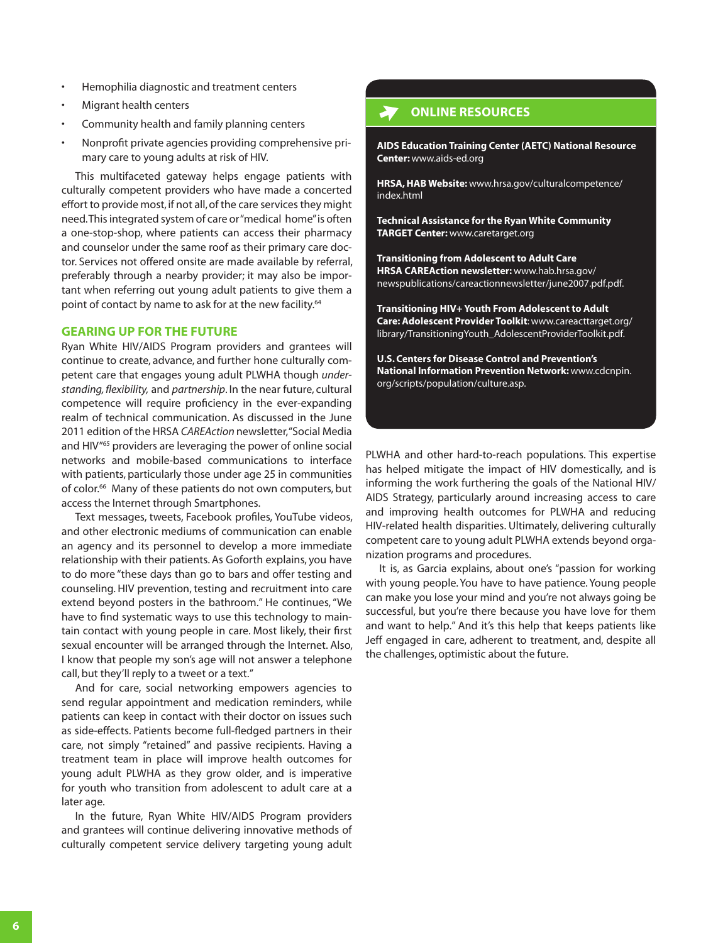- Hemophilia diagnostic and treatment centers
- Migrant health centers
- Community health and family planning centers
- Nonprofit private agencies providing comprehensive primary care to young adults at risk of HIV.

This multifaceted gateway helps engage patients with culturally competent providers who have made a concerted effort to provide most, if not all, of the care services they might need. This integrated system of care or "medical home" is often a one-stop-shop, where patients can access their pharmacy and counselor under the same roof as their primary care doctor. Services not offered onsite are made available by referral, preferably through a nearby provider; it may also be important when referring out young adult patients to give them a point of contact by name to ask for at the new facility.<sup>64</sup>

#### **GEARING UP FOR THE FUTURE**

Ryan White HIV/AIDS Program providers and grantees will continue to create, advance, and further hone culturally competent care that engages young adult PLWHA though *understanding, flexibility,* and *partnership*. In the near future, cultural competence will require proficiency in the ever-expanding realm of technical communication. As discussed in the June 2011 edition of the HRSA *CAREAction* newsletter, "Social Media and HIV"65 providers are leveraging the power of online social networks and mobile-based communications to interface with patients, particularly those under age 25 in communities of color.<sup>66</sup> Many of these patients do not own computers, but access the Internet through Smartphones.

Text messages, tweets, Facebook profiles, YouTube videos, and other electronic mediums of communication can enable an agency and its personnel to develop a more immediate relationship with their patients. As Goforth explains, you have to do more "these days than go to bars and offer testing and counseling. HIV prevention, testing and recruitment into care extend beyond posters in the bathroom." He continues, "We have to find systematic ways to use this technology to maintain contact with young people in care. Most likely, their first sexual encounter will be arranged through the Internet. Also, I know that people my son's age will not answer a telephone call, but they'll reply to a tweet or a text."

And for care, social networking empowers agencies to send regular appointment and medication reminders, while patients can keep in contact with their doctor on issues such as side-effects. Patients become full-fledged partners in their care, not simply "retained" and passive recipients. Having a treatment team in place will improve health outcomes for young adult PLWHA as they grow older, and is imperative for youth who transition from adolescent to adult care at a later age.

In the future, Ryan White HIV/AIDS Program providers and grantees will continue delivering innovative methods of culturally competent service delivery targeting young adult

### **ONLINE RESOURCES**

**AIDS Education Training Center (AETC) National Resource Center:** [www.aids-ed.org](http://www.aids-ed.org)

**HRSA, HAB Website:** [www.hrsa.gov/culturalcompetence/](http://www.hrsa.gov/culturalcompetence/index.html) [index.html](http://www.hrsa.gov/culturalcompetence/index.html)

**Technical Assistance for the Ryan White Community TARGET Center:** [www.caretarget.org](http://www.careacttarget.org/)

**Transitioning from Adolescent to Adult Care HRSA CAREAction newsletter:** [www.hab.hrsa.gov/](http://www.hab.hrsa.gov/newspublications/careactionnewsletter/june2007.pdf.pdf) [newspublications/careactionnewsletter/june2007.pdf.pdf](http://www.hab.hrsa.gov/newspublications/careactionnewsletter/june2007.pdf.pdf).

**Transitioning HIV+ Youth From Adolescent to Adult Care: Adolescent Provider Toolkit**: [www.careacttarget.org/](http://www.careacttarget.org/library/TransitioningYouth_AdolescentProviderToolkit.pdf) [library/TransitioningYouth\\_AdolescentProviderToolkit.pdf.](http://www.careacttarget.org/library/TransitioningYouth_AdolescentProviderToolkit.pdf)

**U.S. Centers for Disease Control and Prevention's National Information Prevention Network:** [www.cdcnpin.](http://www.cdcnpin.org/scripts/population/culture.asp) [org/scripts/population/culture.asp](http://www.cdcnpin.org/scripts/population/culture.asp).

PLWHA and other hard-to-reach populations. This expertise has helped mitigate the impact of HIV domestically, and is informing the work furthering the goals of the National HIV/ AIDS Strategy, particularly around increasing access to care and improving health outcomes for PLWHA and reducing HIV-related health disparities. Ultimately, delivering culturally competent care to young adult PLWHA extends beyond organization programs and procedures.

It is, as Garcia explains, about one's "passion for working with young people. You have to have patience. Young people can make you lose your mind and you're not always going be successful, but you're there because you have love for them and want to help." And it's this help that keeps patients like Jeff engaged in care, adherent to treatment, and, despite all the challenges, optimistic about the future.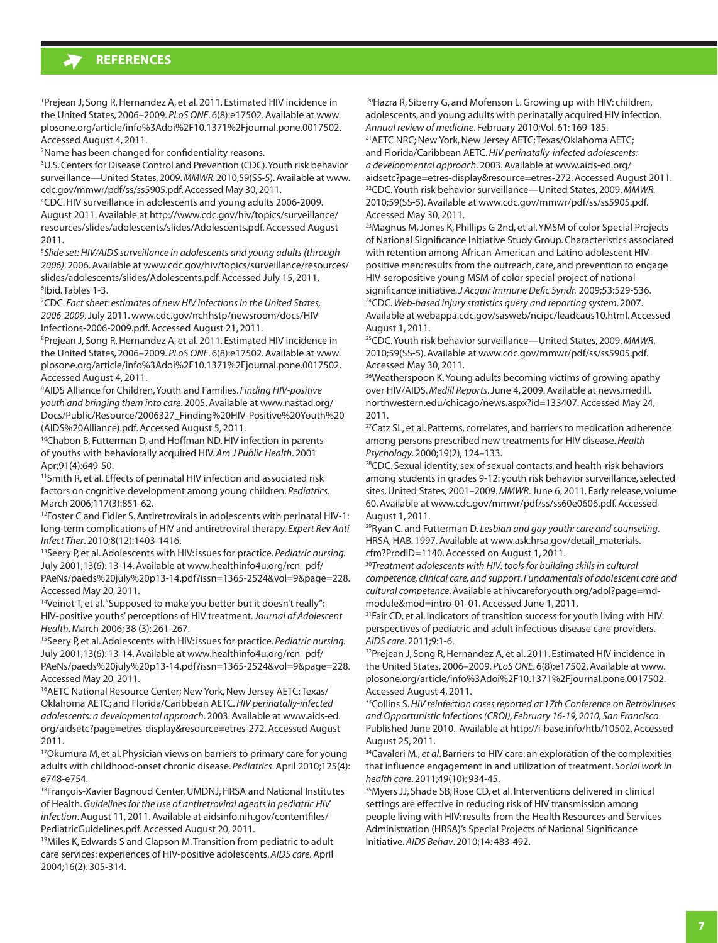

1 Prejean J, Song R, Hernandez A, et al. 2011. Estimated HIV incidence in the United States, 2006–2009. *PLoS ONE*. 6(8):e17502. Available at [www.](http://www.plosone.org/article/info%3Adoi%2F10.1371%2Fjournal.pone.0017502) [plosone.org/article/info%3Adoi%2F10.1371%2Fjournal.pone.0017502.](http://www.plosone.org/article/info%3Adoi%2F10.1371%2Fjournal.pone.0017502) Accessed August 4, 2011.

2 Name has been changed for confidentiality reasons.

3 U.S. Centers for Disease Control and Prevention (CDC). Youth risk behavior surveillance—United States, 2009. *MMWR*. 2010;59(SS-5). Available at [www.](http://www.cdc.gov/mmwr/pdf/ss/ss5905.pdf) [cdc.gov/mmwr/pdf/ss/ss5905.pdf](http://www.cdc.gov/mmwr/pdf/ss/ss5905.pdf). Accessed May 30, 2011.

4 CDC. HIV surveillance in adolescents and young adults 2006-2009. August 2011. Available at [http://www.cdc.gov/hiv/topics/surveillance/](http://www.cdc.gov/hiv/topics/surveillance/resources/slides/adolescents/slides/Adolescents.pdf) [resources/slides/adolescents/slides/Adolescents.pdf](http://www.cdc.gov/hiv/topics/surveillance/resources/slides/adolescents/slides/Adolescents.pdf). Accessed August 2011.

5 *Slide set: HIV/AIDS surveillance in adolescents and young adults (through 2006)*. 2006. Available at [www.cdc.gov/hiv/topics/surveillance/resources/](http://www.cdc.gov/hiv/topics/surveillance/resources/slides/adolescents/slides/Adolescents.pdf) [slides/adolescents/slides/Adolescents.pdf.](http://www.cdc.gov/hiv/topics/surveillance/resources/slides/adolescents/slides/Adolescents.pdf) Accessed July 15, 2011. 6 Ibid. Tables 1-3.

7 CDC. *Fact sheet: estimates of new HIV infections in the United States, 2006-2009*. July 2011. [www.cdc.gov/nchhstp/newsroom/docs/HIV-](http://www.cdc.gov/nchhstp/newsroom/docs/HIV-Infections-2006-2009.pdf)[Infections-2006-2009.pdf.](http://www.cdc.gov/nchhstp/newsroom/docs/HIV-Infections-2006-2009.pdf) Accessed August 21, 2011.

8 Prejean J, Song R, Hernandez A, et al. 2011. Estimated HIV incidence in the United States, 2006–2009. *PLoS ONE*. 6(8):e17502. Available at [www.](http://www.plosone.org/article/info%3Adoi%2F10.1371%2Fjournal.pone.0017502) [plosone.org/article/info%3Adoi%2F10.1371%2Fjournal.pone.0017502.](http://www.plosone.org/article/info%3Adoi%2F10.1371%2Fjournal.pone.0017502) Accessed August 4, 2011.

9 AIDS Alliance for Children, Youth and Families. *Finding HIV-positive youth and bringing them into care*. 2005. Available at [www.nastad.org/](http://www.nastad.org/Docs/Public/Resource/2006327_Finding%20HIV-Positive%20Youth%20(AIDS%20Alliance).pdf) [Docs/Public/Resource/2006327\\_Finding%20HIV-Positive%20Youth%20](http://www.nastad.org/Docs/Public/Resource/2006327_Finding%20HIV-Positive%20Youth%20(AIDS%20Alliance).pdf) [\(AIDS%20Alliance\).pdf.](http://www.nastad.org/Docs/Public/Resource/2006327_Finding%20HIV-Positive%20Youth%20(AIDS%20Alliance).pdf) Accessed August 5, 2011.

<sup>10</sup>Chabon B, Futterman D, and Hoffman ND. HIV infection in parents of youths with behaviorally acquired HIV. *Am J Public Health*. 2001 Apr;91(4):649-50.

11Smith R, et al. Effects of perinatal HIV infection and associated risk factors on cognitive development among young children. *Pediatrics*. March 2006;117(3):851-62.

<sup>12</sup>Foster C and Fidler S. Antiretrovirals in adolescents with perinatal HIV-1: long-term complications of HIV and antiretroviral therapy. *Expert Rev Anti Infect Ther.* 2010;8(12):1403-1416.<br><sup>13</sup>Seery P, et al. Adolescents with HIV: issues for practice. *Pediatric nursing.* 

July 2001;13(6): 13-14. Available at [www.healthinfo4u.org/rcn\\_pdf/](http://www.healthinfo4u.org/rcn_pdf/PAeNs/paeds%20july%20p13-14.pdf?issn=1365-2524&vol=9&page=228) [PAeNs/paeds%20july%20p13-14.pdf?issn=1365-2524&vol=9&page=228.](http://www.healthinfo4u.org/rcn_pdf/PAeNs/paeds%20july%20p13-14.pdf?issn=1365-2524&vol=9&page=228) Accessed May 20, 2011.

<sup>14</sup>Veinot T, et al. "Supposed to make you better but it doesn't really": HIV-positive youths' perceptions of HIV treatment. *Journal of Adolescent Health*. March 2006; 38 (3): 261-267.

15Seery P, et al. Adolescents with HIV: issues for practice. *Pediatric nursing.*  July 2001;13(6): 13-14. Available at [www.healthinfo4u.org/rcn\\_pdf/](http://www.healthinfo4u.org/rcn_pdf/PAeNs/paeds%20july%20p13-14.pdf?issn=1365-2524&vol=9&page=228) [PAeNs/paeds%20july%20p13-14.pdf?issn=1365-2524&vol=9&page=228.](http://www.healthinfo4u.org/rcn_pdf/PAeNs/paeds%20july%20p13-14.pdf?issn=1365-2524&vol=9&page=228) Accessed May 20, 2011.

<sup>16</sup>AETC National Resource Center; New York, New Jersey AETC; Texas/ Oklahoma AETC; and Florida/Caribbean AETC. *HIV perinatally-infected adolescents: a developmental approach*. 2003. Available at [www.aids-ed.](http://www.aids-ed.org/aidsetc?page=etres-display&resource=etres-272) [org/aidsetc?page=etres-display&resource=etres-272](http://www.aids-ed.org/aidsetc?page=etres-display&resource=etres-272). Accessed August 2011.

<sup>17</sup>Okumura M, et al. Physician views on barriers to primary care for young adults with childhood-onset chronic disease. *Pediatrics*. April 2010;125(4): e748-e754.

<sup>18</sup>François-Xavier Bagnoud Center, UMDNJ, HRSA and National Institutes of Health. *Guidelines for the use of antiretroviral agents in pediatric HIV infection*. August 11, 2011. Available at [aidsinfo.nih.gov/contentfiles/](http://aidsinfo.nih.gov/contentfiles/PediatricGuidelines.pdf) [PediatricGuidelines.pdf.](http://aidsinfo.nih.gov/contentfiles/PediatricGuidelines.pdf) Accessed August 20, 2011.

<sup>19</sup> Miles K, Edwards S and Clapson M. Transition from pediatric to adult care services: experiences of HIV-positive adolescents. *AIDS care*. April 2004;16(2): 305-314.

<sup>20</sup>Hazra R, Siberry G, and Mofenson L. Growing up with HIV: children, adolescents, and young adults with perinatally acquired HIV infection. *Annual review of medicine*. February 2010;Vol. 61: 169-185.

21AETC NRC; New York, New Jersey AETC; Texas/Oklahoma AETC; and Florida/Caribbean AETC. *HIV perinatally-infected adolescents: a developmental approach*. 2003. Available at [www.aids-ed.org/](http://www.aids-ed.org/aidsetc?page=etres-display&resource=etres-272) [aidsetc?page=etres-display&resource=etres-272](http://www.aids-ed.org/aidsetc?page=etres-display&resource=etres-272). Accessed August 2011. 22CDC. Youth risk behavior surveillance—United States, 2009. *MMWR.* 2010;59(SS-5). Available at [www.cdc.gov/mmwr/pdf/ss/ss5905.pdf.](http://www.cdc.gov/mmwr/pdf/ss/ss5905.pdf) Accessed May 30, 2011.

<sup>23</sup> Magnus M, Jones K, Phillips G 2nd, et al. YMSM of color Special Projects of National Significance Initiative Study Group. Characteristics associated with retention among African-American and Latino adolescent HIVpositive men: results from the outreach, care, and prevention to engage HIV-seropositive young MSM of color special project of national significance initiative. *J Acquir Immune Defic Syndr.* 2009;53:529-536. 24CDC. *Web-based injury statistics query and reporting system*. 2007. Available at [webappa.cdc.gov/sasweb/ncipc/leadcaus10.html.](http://webappa.cdc.gov/sasweb/ncipc/leadcaus10.html) Accessed August 1, 2011.

25CDC. Youth risk behavior surveillance—United States, 2009. *MMWR*. 2010;59(SS-5). Available at [www.cdc.gov/mmwr/pdf/ss/ss5905.pdf.](http://www.cdc.gov/mmwr/pdf/ss/ss5905.pdf) Accessed May 30, 2011.

<sup>26</sup>Weatherspoon K. Young adults becoming victims of growing apathy over HIV/AIDS. *Medill Reports*. June 4, 2009. Available at [news.medill.](http://news.medill.northwestern.edu/chicago/news.aspx?id=133407) [northwestern.edu/chicago/news.aspx?id=133407.](http://news.medill.northwestern.edu/chicago/news.aspx?id=133407) Accessed May 24, 2011.

<sup>27</sup>Catz SL, et al. Patterns, correlates, and barriers to medication adherence among persons prescribed new treatments for HIV disease. *Health Psychology*. 2000;19(2), 124–133.

<sup>28</sup>CDC. Sexual identity, sex of sexual contacts, and health-risk behaviors among students in grades 9-12: youth risk behavior surveillance, selected sites, United States, 2001–2009. *MMWR*. June 6, 2011. Early release, volume 60. Available at [www.cdc.gov/mmwr/pdf/ss/ss60e0606.pdf.](http://www.cdc.gov/mmwr/pdf/ss/ss60e0606.pdf) Accessed August 1, 2011.

29Ryan C. and Futterman D. *Lesbian and gay youth: care and counseling*. HRSA, HAB. 1997. Available at [www.ask.hrsa.gov/detail\\_materials.](http://www.ask.hrsa.gov/detail_materials.cfm?ProdID=1140) [cfm?ProdID=1140](http://www.ask.hrsa.gov/detail_materials.cfm?ProdID=1140). Accessed on August 1, 2011.

<sup>30</sup>*Treatment adolescents with HIV: tools for building skills in cultural competence, clinical care, and support. Fundamentals of adolescent care and cultural competence*. Available at [hivcareforyouth.org/adol?page=md](http://hivcareforyouth.org/adol?page=md-module&mod=intro-01-01)[module&mod=intro-01-01](http://hivcareforyouth.org/adol?page=md-module&mod=intro-01-01). Accessed June 1, 2011.

<sup>31</sup>Fair CD, et al. Indicators of transition success for youth living with HIV: perspectives of pediatric and adult infectious disease care providers. *AIDS care*. 2011;9:1-6.

<sup>32</sup>Prejean J, Song R, Hernandez A, et al. 2011. Estimated HIV incidence in the United States, 2006–2009. *PLoS ONE*. 6(8):e17502. Available at [www.](http://www.plosone.org/article/info%3Adoi%2F10.1371%2Fjournal.pone.0017502) [plosone.org/article/info%3Adoi%2F10.1371%2Fjournal.pone.0017502.](http://www.plosone.org/article/info%3Adoi%2F10.1371%2Fjournal.pone.0017502) Accessed August 4, 2011.

33Collins S. *HIV reinfection cases reported at 17th Conference on Retroviruses and Opportunistic Infections (CROI), February 16-19, 2010, San Francisco*. Published June 2010. Available at<http://i-base.info/htb/10502>. Accessed August 25, 2011.

<sup>34</sup>Cavaleri M., *et al*. Barriers to HIV care: an exploration of the complexities that influence engagement in and utilization of treatment. *Social work in health care*. 2011;49(10): 934-45.

<sup>35</sup> Myers JJ, Shade SB, Rose CD, et al. Interventions delivered in clinical settings are effective in reducing risk of HIV transmission among people living with HIV: results from the Health Resources and Services Administration (HRSA)'s Special Projects of National Significance Initiative. *AIDS Behav*. 2010;14: 483-492.